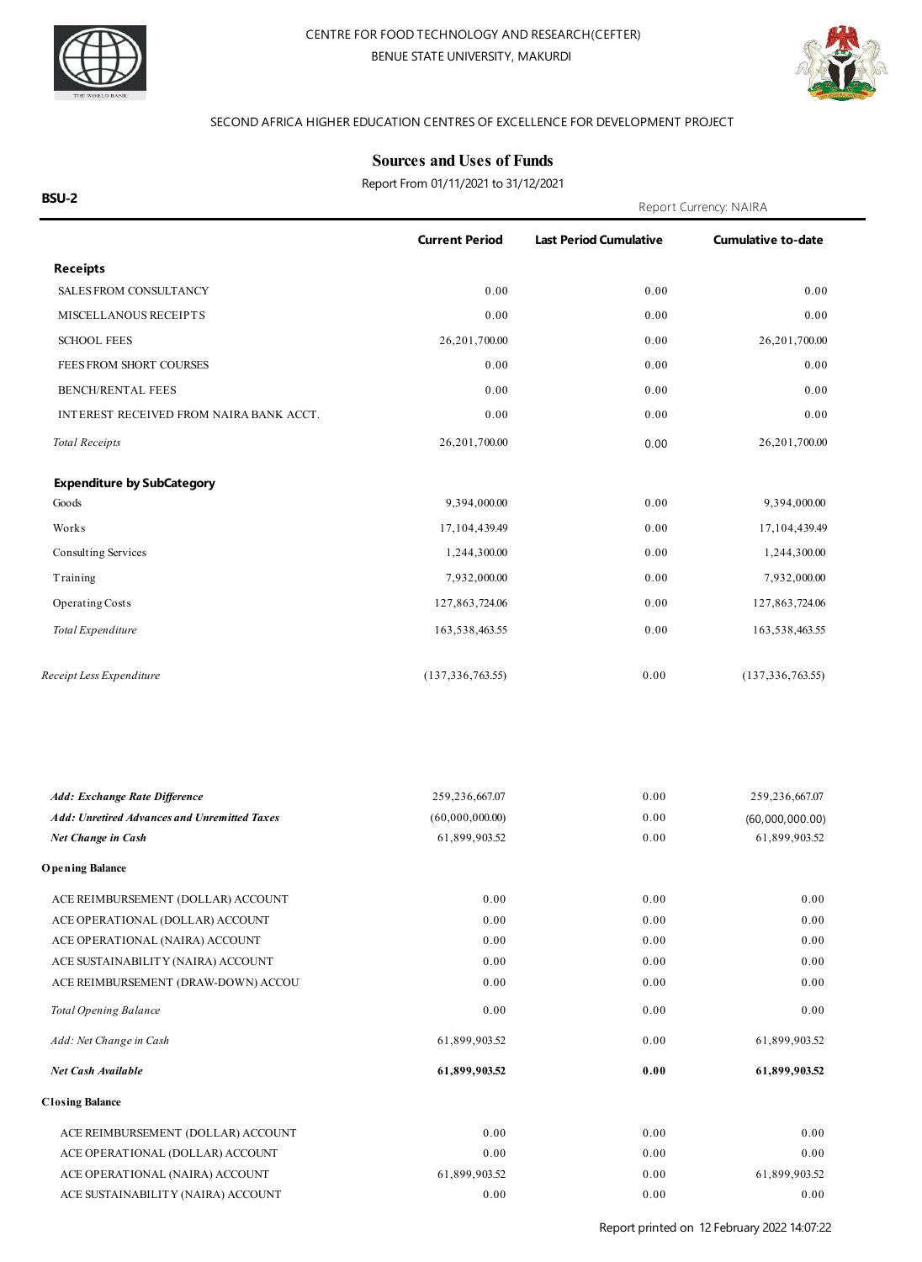



#### SECOND AFRICA HIGHER EDUCATION CENTRES OF EXCELLENCE FOR DEVELOPMENT PROJECT

**Current Period Last Period Cumulative Cumulative to-date**

#### **Sources and Uses of Funds**

**BSU-2** Report Currency: NAIRA Report From 01/11/2021 to 31/12/2021

**Receipts** SALES FROM CONSULTANCY 0.00 0.00 0.00 MISCELLANOUS RECEIPT S 0.00 0.00 0.00 SCHOOL FEES 26,201,700.00 0.00 26,201,700.00 0.00 26,201,700.00 FEES FROM SHORT COURSES  $0.00$   $0.00$   $0.00$   $0.00$   $0.00$ BENCH/RENTAL FEES 0.00 0.00 0.00 INTEREST RECEIVED FROM NAIRA BANK ACCT.  $0.00$  0.00 0.00 0.00 0.00 0.00 0.00 *Total Receipts* 26,201,700.00 0.00 0.00 26,201,700.00 **Expenditure by SubCategory** Goods 9,394,000.00 0.00 9,394,000.00 Works 2000 17,104,439.49 2000 17,104,439.49 2000 17,104,439.49 2000 17,104,439.49 Consulting Services 2.244,300.00 0.00 1,244,300.00 0.00 1,244,300.00 Training 7,932,000.00 0.00 0.00 7,932,000.00 Operating Costs 127,863,724.06 0.00 127,863,724.06 *Total Expenditure* 163,538,463.55 0.00 163,538,463.55 *Receipt Less Expenditure* (137,336,763.55) 0.00 (137,336,763.55) *Add: Exchange Rate Difference* 259,236,667.07 259,236,667.07 *Net Change in Cash* 61,899,903.52 0.00 0.00 61,899,903.52 *Add: Unretired Advances and Unremitted Taxes* (60,000,000.00) 0.00 (60,000,000.00) **O pening Balance** ACE REIMBURSEMENT (DOLLAR) ACCOUNT 0.00 0.00 0.00 0.00 0.00 0.00 ACE OPERATIONAL (DOLLAR) ACCOUNT 0.00 0.00 0.00 ACE OPERATIONAL (NAIRA) ACCOUNT 0.00 0.00 0.00 ACE SUSTAINABILITY (NAIRA) ACCOUNT 0.00 0.00 0.00  $0.00 \hspace{3.1cm} 0.00 \hspace{3.1cm} 0.00 \hspace{3.1cm} 0.00$ **Total Opening Balance** 0.00 *Add: Net Change in Cash* 61,899,903.52 *Net Cash Available* **61,899,903.52** 0.00 0.00 **0.00** 0.00 61,899,903.52 **61,899,903.52 Closing Balance** ACE REIMBURSEMENT (DOLLAR) ACCOUNT 0.00 0.00 0.00 0.00 0.00 0.00 ACE OPERATIONAL (DOLLAR) ACCOUNT 0.00 0.00 0.00 0.00 0.00 0.00 ACE OPERATIONAL (NAIRA) ACCOUNT 61,899,903.52 0.00 61,899,903.52 61,899,903.52 ACE SUSTAINABILITY (NAIRA) ACCOUNT 0.00 0.00 0.00 0.00 0.00 0.00